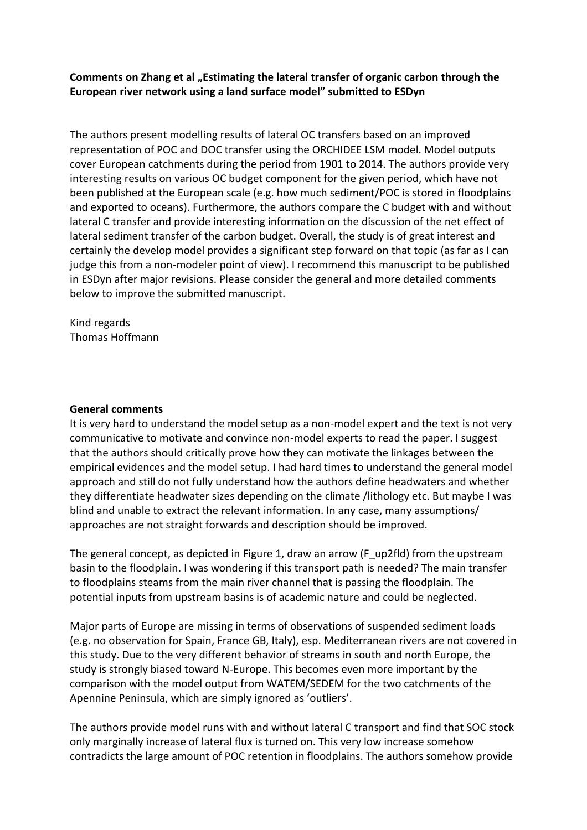Comments on Zhang et al "Estimating the lateral transfer of organic carbon through the **European river network using a land surface model" submitted to ESDyn**

The authors present modelling results of lateral OC transfers based on an improved representation of POC and DOC transfer using the ORCHIDEE LSM model. Model outputs cover European catchments during the period from 1901 to 2014. The authors provide very interesting results on various OC budget component for the given period, which have not been published at the European scale (e.g. how much sediment/POC is stored in floodplains and exported to oceans). Furthermore, the authors compare the C budget with and without lateral C transfer and provide interesting information on the discussion of the net effect of lateral sediment transfer of the carbon budget. Overall, the study is of great interest and certainly the develop model provides a significant step forward on that topic (as far as I can judge this from a non-modeler point of view). I recommend this manuscript to be published in ESDyn after major revisions. Please consider the general and more detailed comments below to improve the submitted manuscript.

Kind regards Thomas Hoffmann

## **General comments**

It is very hard to understand the model setup as a non-model expert and the text is not very communicative to motivate and convince non-model experts to read the paper. I suggest that the authors should critically prove how they can motivate the linkages between the empirical evidences and the model setup. I had hard times to understand the general model approach and still do not fully understand how the authors define headwaters and whether they differentiate headwater sizes depending on the climate /lithology etc. But maybe I was blind and unable to extract the relevant information. In any case, many assumptions/ approaches are not straight forwards and description should be improved.

The general concept, as depicted in Figure 1, draw an arrow (F\_up2fld) from the upstream basin to the floodplain. I was wondering if this transport path is needed? The main transfer to floodplains steams from the main river channel that is passing the floodplain. The potential inputs from upstream basins is of academic nature and could be neglected.

Major parts of Europe are missing in terms of observations of suspended sediment loads (e.g. no observation for Spain, France GB, Italy), esp. Mediterranean rivers are not covered in this study. Due to the very different behavior of streams in south and north Europe, the study is strongly biased toward N-Europe. This becomes even more important by the comparison with the model output from WATEM/SEDEM for the two catchments of the Apennine Peninsula, which are simply ignored as 'outliers'.

The authors provide model runs with and without lateral C transport and find that SOC stock only marginally increase of lateral flux is turned on. This very low increase somehow contradicts the large amount of POC retention in floodplains. The authors somehow provide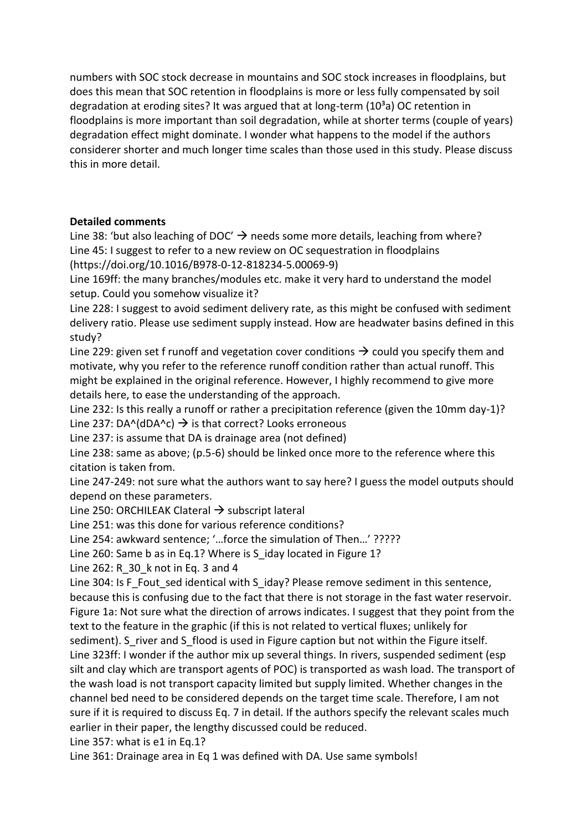numbers with SOC stock decrease in mountains and SOC stock increases in floodplains, but does this mean that SOC retention in floodplains is more or less fully compensated by soil degradation at eroding sites? It was argued that at long-term  $(10<sup>3</sup>a)$  OC retention in floodplains is more important than soil degradation, while at shorter terms (couple of years) degradation effect might dominate. I wonder what happens to the model if the authors considerer shorter and much longer time scales than those used in this study. Please discuss this in more detail.

## **Detailed comments**

Line 38: 'but also leaching of DOC'  $\rightarrow$  needs some more details, leaching from where? Line 45: I suggest to refer to a new review on OC sequestration in floodplains (https://doi.org/10.1016/B978-0-12-818234-5.00069-9)

Line 169ff: the many branches/modules etc. make it very hard to understand the model setup. Could you somehow visualize it?

Line 228: I suggest to avoid sediment delivery rate, as this might be confused with sediment delivery ratio. Please use sediment supply instead. How are headwater basins defined in this study?

Line 229: given set f runoff and vegetation cover conditions  $\rightarrow$  could you specify them and motivate, why you refer to the reference runoff condition rather than actual runoff. This might be explained in the original reference. However, I highly recommend to give more details here, to ease the understanding of the approach.

Line 232: Is this really a runoff or rather a precipitation reference (given the 10mm day-1)? Line 237: DA^(dDA^c)  $\rightarrow$  is that correct? Looks erroneous

Line 237: is assume that DA is drainage area (not defined)

Line 238: same as above; (p.5-6) should be linked once more to the reference where this citation is taken from.

Line 247-249: not sure what the authors want to say here? I guess the model outputs should depend on these parameters.

Line 250: ORCHILEAK Clateral  $\rightarrow$  subscript lateral

Line 251: was this done for various reference conditions?

Line 254: awkward sentence; '…force the simulation of Then…' ?????

Line 260: Same b as in Eq.1? Where is S\_iday located in Figure 1?

Line 262: R 30 k not in Eq. 3 and 4

Line 304: Is F\_Fout\_sed identical with S\_iday? Please remove sediment in this sentence, because this is confusing due to the fact that there is not storage in the fast water reservoir. Figure 1a: Not sure what the direction of arrows indicates. I suggest that they point from the text to the feature in the graphic (if this is not related to vertical fluxes; unlikely for sediment). S\_river and S\_flood is used in Figure caption but not within the Figure itself. Line 323ff: I wonder if the author mix up several things. In rivers, suspended sediment (esp silt and clay which are transport agents of POC) is transported as wash load. The transport of the wash load is not transport capacity limited but supply limited. Whether changes in the channel bed need to be considered depends on the target time scale. Therefore, I am not sure if it is required to discuss Eq. 7 in detail. If the authors specify the relevant scales much earlier in their paper, the lengthy discussed could be reduced.

Line 357: what is e1 in Eq.1?

Line 361: Drainage area in Eq 1 was defined with DA. Use same symbols!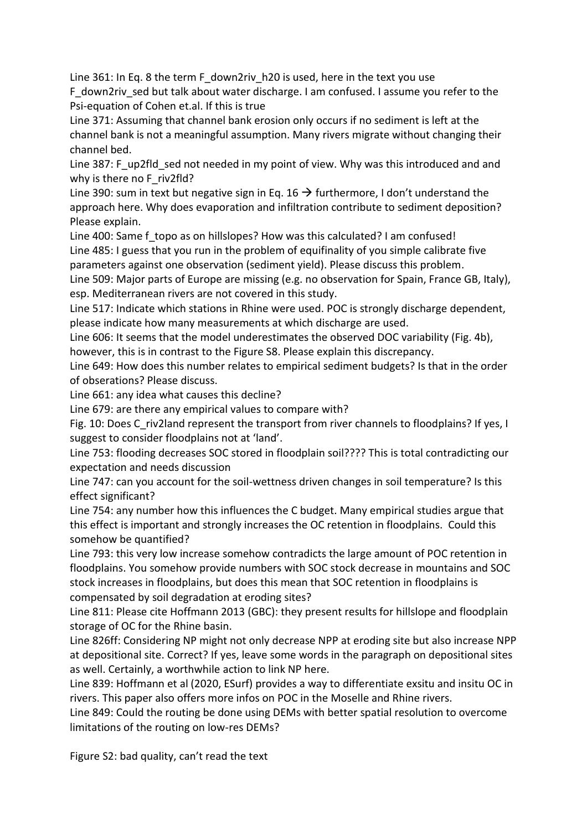Line 361: In Eq. 8 the term F\_down2riv\_h20 is used, here in the text you use F down2riv sed but talk about water discharge. I am confused. I assume you refer to the Psi-equation of Cohen et.al. If this is true

Line 371: Assuming that channel bank erosion only occurs if no sediment is left at the channel bank is not a meaningful assumption. Many rivers migrate without changing their channel bed.

Line 387: F\_up2fld\_sed not needed in my point of view. Why was this introduced and and why is there no F\_riv2fld?

Line 390: sum in text but negative sign in Eq. 16  $\rightarrow$  furthermore, I don't understand the approach here. Why does evaporation and infiltration contribute to sediment deposition? Please explain.

Line 400: Same f\_topo as on hillslopes? How was this calculated? I am confused! Line 485: I guess that you run in the problem of equifinality of you simple calibrate five parameters against one observation (sediment yield). Please discuss this problem.

Line 509: Major parts of Europe are missing (e.g. no observation for Spain, France GB, Italy), esp. Mediterranean rivers are not covered in this study.

Line 517: Indicate which stations in Rhine were used. POC is strongly discharge dependent, please indicate how many measurements at which discharge are used.

Line 606: It seems that the model underestimates the observed DOC variability (Fig. 4b), however, this is in contrast to the Figure S8. Please explain this discrepancy.

Line 649: How does this number relates to empirical sediment budgets? Is that in the order of obserations? Please discuss.

Line 661: any idea what causes this decline?

Line 679: are there any empirical values to compare with?

Fig. 10: Does C\_riv2land represent the transport from river channels to floodplains? If yes, I suggest to consider floodplains not at 'land'.

Line 753: flooding decreases SOC stored in floodplain soil???? This is total contradicting our expectation and needs discussion

Line 747: can you account for the soil-wettness driven changes in soil temperature? Is this effect significant?

Line 754: any number how this influences the C budget. Many empirical studies argue that this effect is important and strongly increases the OC retention in floodplains. Could this somehow be quantified?

Line 793: this very low increase somehow contradicts the large amount of POC retention in floodplains. You somehow provide numbers with SOC stock decrease in mountains and SOC stock increases in floodplains, but does this mean that SOC retention in floodplains is compensated by soil degradation at eroding sites?

Line 811: Please cite Hoffmann 2013 (GBC): they present results for hillslope and floodplain storage of OC for the Rhine basin.

Line 826ff: Considering NP might not only decrease NPP at eroding site but also increase NPP at depositional site. Correct? If yes, leave some words in the paragraph on depositional sites as well. Certainly, a worthwhile action to link NP here.

Line 839: Hoffmann et al (2020, ESurf) provides a way to differentiate exsitu and insitu OC in rivers. This paper also offers more infos on POC in the Moselle and Rhine rivers.

Line 849: Could the routing be done using DEMs with better spatial resolution to overcome limitations of the routing on low-res DEMs?

Figure S2: bad quality, can't read the text